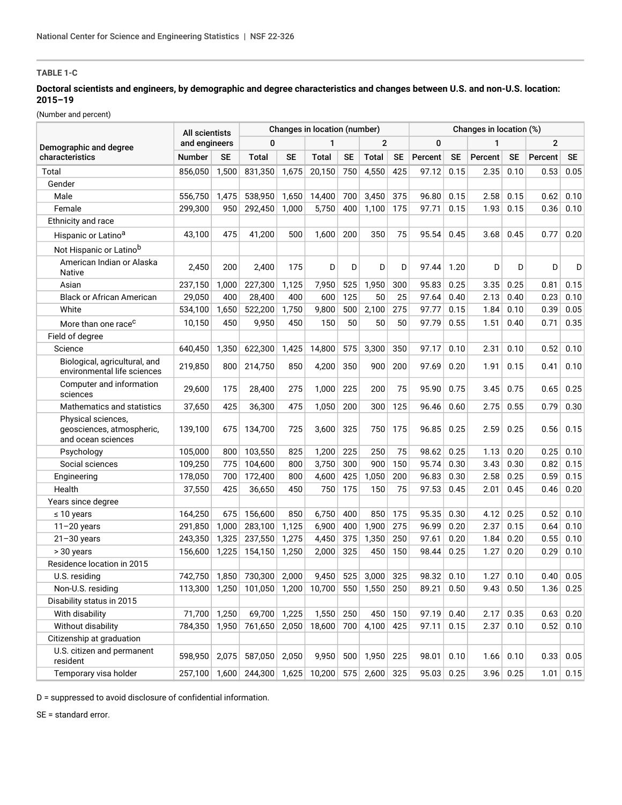# **TABLE 1-C**

## **Doctoral scientists and engineers, by demographic and degree characteristics and changes between U.S. and non-U.S. location: 2015–19**

(Number and percent)

|                                                                       | All scientists<br>and engineers |           | Changes in location (number) |           |              |           |                |           | Changes in location (%) |           |         |      |                |           |
|-----------------------------------------------------------------------|---------------------------------|-----------|------------------------------|-----------|--------------|-----------|----------------|-----------|-------------------------|-----------|---------|------|----------------|-----------|
| Demographic and degree                                                |                                 |           | 0                            |           | 1            |           | $\overline{2}$ |           | 0                       |           | 1       |      | $\overline{2}$ |           |
| characteristics                                                       | Number                          | <b>SE</b> | <b>Total</b>                 | <b>SE</b> | <b>Total</b> | <b>SE</b> | <b>Total</b>   | <b>SE</b> | Percent                 | <b>SE</b> | Percent | SE   | Percent        | <b>SE</b> |
| Total                                                                 | 856,050                         | 1,500     | 831,350                      | 1,675     | 20,150       | 750       | 4,550          | 425       | 97.12                   | 0.15      | 2.35    | 0.10 | 0.53           | 0.05      |
| Gender                                                                |                                 |           |                              |           |              |           |                |           |                         |           |         |      |                |           |
| Male                                                                  | 556,750                         | 1,475     | 538,950                      | 1,650     | 14,400       | 700       | 3,450          | 375       | 96.80                   | 0.15      | 2.58    | 0.15 | 0.62           | 0.10      |
| Female                                                                | 299,300                         | 950       | 292,450                      | 1,000     | 5,750        | 400       | 1,100          | 175       | 97.71                   | 0.15      | 1.93    | 0.15 | 0.36           | 0.10      |
| Ethnicity and race                                                    |                                 |           |                              |           |              |           |                |           |                         |           |         |      |                |           |
| Hispanic or Latino <sup>a</sup>                                       | 43,100                          | 475       | 41,200                       | 500       | 1,600        | 200       | 350            | 75        | 95.54                   | 0.45      | 3.68    | 0.45 | 0.77           | 0.20      |
| Not Hispanic or Latinob                                               |                                 |           |                              |           |              |           |                |           |                         |           |         |      |                |           |
| American Indian or Alaska<br><b>Native</b>                            | 2,450                           | 200       | 2,400                        | 175       | D            | D         | D              | D         | 97.44                   | 1.20      | D       | D    | D              | D         |
| Asian                                                                 | 237,150                         | 1,000     | 227,300                      | 1,125     | 7,950        | 525       | 1,950          | 300       | 95.83                   | 0.25      | 3.35    | 0.25 | 0.81           | 0.15      |
| <b>Black or African American</b>                                      | 29,050                          | 400       | 28,400                       | 400       | 600          | 125       | 50             | 25        | 97.64                   | 0.40      | 2.13    | 0.40 | 0.23           | 0.10      |
| White                                                                 | 534,100                         | 1,650     | 522,200                      | 1,750     | 9,800        | 500       | 2,100          | 275       | 97.77                   | 0.15      | 1.84    | 0.10 | 0.39           | 0.05      |
| More than one race <sup>c</sup>                                       | 10,150                          | 450       | 9,950                        | 450       | 150          | 50        | 50             | 50        | 97.79                   | 0.55      | 1.51    | 0.40 | 0.71           | 0.35      |
| Field of degree                                                       |                                 |           |                              |           |              |           |                |           |                         |           |         |      |                |           |
| Science                                                               | 640,450                         | 1,350     | 622,300                      | 1,425     | 14,800       | 575       | 3,300          | 350       | 97.17                   | 0.10      | 2.31    | 0.10 | 0.52           | 0.10      |
| Biological, agricultural, and<br>environmental life sciences          | 219,850                         | 800       | 214,750                      | 850       | 4,200        | 350       | 900            | 200       | 97.69                   | 0.20      | 1.91    | 0.15 | 0.41           | 0.10      |
| Computer and information<br>sciences                                  | 29,600                          | 175       | 28,400                       | 275       | 1,000        | 225       | 200            | 75        | 95.90                   | 0.75      | 3.45    | 0.75 | 0.65           | 0.25      |
| Mathematics and statistics                                            | 37,650                          | 425       | 36,300                       | 475       | 1,050        | 200       | 300            | 125       | 96.46                   | 0.60      | 2.75    | 0.55 | 0.79           | 0.30      |
| Physical sciences,<br>geosciences, atmospheric,<br>and ocean sciences | 139,100                         | 675       | 134,700                      | 725       | 3,600        | 325       | 750            | 175       | 96.85                   | 0.25      | 2.59    | 0.25 | 0.56           | 0.15      |
| Psychology                                                            | 105,000                         | 800       | 103,550                      | 825       | 1,200        | 225       | 250            | 75        | 98.62                   | 0.25      | 1.13    | 0.20 | 0.25           | 0.10      |
| Social sciences                                                       | 109,250                         | 775       | 104,600                      | 800       | 3,750        | 300       | 900            | 150       | 95.74                   | 0.30      | 3.43    | 0.30 | 0.82           | 0.15      |
| Engineering                                                           | 178,050                         | 700       | 172,400                      | 800       | 4,600        | 425       | 1,050          | 200       | 96.83                   | 0.30      | 2.58    | 0.25 | 0.59           | 0.15      |
| Health                                                                | 37,550                          | 425       | 36,650                       | 450       | 750          | 175       | 150            | 75        | 97.53                   | 0.45      | 2.01    | 0.45 | 0.46           | 0.20      |
| Years since degree                                                    |                                 |           |                              |           |              |           |                |           |                         |           |         |      |                |           |
| $\leq 10$ years                                                       | 164,250                         | 675       | 156,600                      | 850       | 6,750        | 400       | 850            | 175       | 95.35                   | 0.30      | 4.12    | 0.25 | 0.52           | 0.10      |
| $11 - 20$ years                                                       | 291,850                         | 1,000     | 283,100                      | 1,125     | 6,900        | 400       | 1,900          | 275       | 96.99                   | 0.20      | 2.37    | 0.15 | 0.64           | 0.10      |
| $21 - 30$ years                                                       | 243,350                         | 1,325     | 237,550                      | 1,275     | 4,450        | 375       | 1,350          | 250       | 97.61                   | 0.20      | 1.84    | 0.20 | 0.55           | 0.10      |
| > 30 years                                                            | 156,600                         | 1,225     | 154,150                      | 1,250     | 2,000        | 325       | 450            | 150       | 98.44                   | 0.25      | 1.27    | 0.20 | 0.29           | 0.10      |
| Residence location in 2015                                            |                                 |           |                              |           |              |           |                |           |                         |           |         |      |                |           |
| U.S. residing                                                         | 742,750                         | 1.850     | 730,300                      | 2,000     | 9,450        | 525       | 3.000          | 325       | 98.32                   | 0.10      | 1.27    | 0.10 | 0.40           | 0.05      |
| Non-U.S. residing                                                     | 113,300                         | 1,250     | $101,050$   1,200            |           | 10,700       | 550       | 1,550          | 250       | 89.21                   | 0.50      | 9.43    | 0.50 | 1.36           | 0.25      |
| Disability status in 2015                                             |                                 |           |                              |           |              |           |                |           |                         |           |         |      |                |           |
| With disability                                                       | 71,700                          | 1,250     | 69,700                       | 1,225     | 1,550        | 250       | 450            | 150       | 97.19                   | 0.40      | 2.17    | 0.35 | 0.63           | 0.20      |
| Without disability                                                    | 784,350                         | 1,950     | 761,650                      | 2,050     | 18,600       | 700       | 4,100          | 425       | 97.11                   | 0.15      | 2.37    | 0.10 | 0.52           | 0.10      |
| Citizenship at graduation                                             |                                 |           |                              |           |              |           |                |           |                         |           |         |      |                |           |
| U.S. citizen and permanent<br>resident                                | 598,950                         | 2,075     | 587,050                      | 2,050     | 9,950        | 500       | 1,950          | 225       | 98.01                   | 0.10      | 1.66    | 0.10 | 0.33           | 0.05      |
| Temporary visa holder                                                 | 257,100                         | 1,600     | 244,300                      | 1,625     | 10,200       | 575       | 2,600          | 325       | 95.03                   | 0.25      | 3.96    | 0.25 | 1.01           | 0.15      |

D = suppressed to avoid disclosure of confidential information.

SE = standard error.